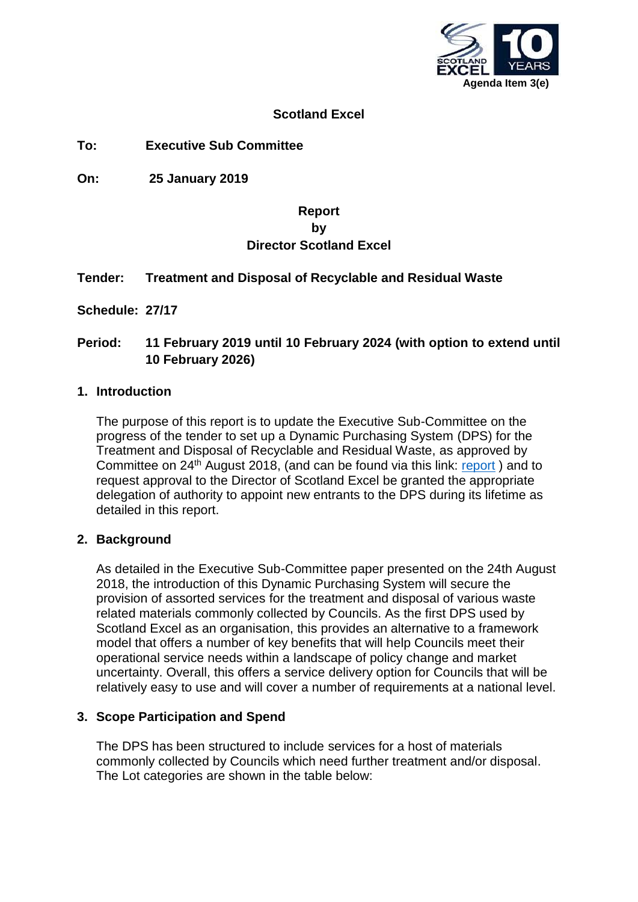

## **Scotland Excel**

**To: Executive Sub Committee**

**On: 25 January 2019**

# **Report by Director Scotland Excel**

## **Tender: Treatment and Disposal of Recyclable and Residual Waste**

**Schedule: 27/17**

# **Period: 11 February 2019 until 10 February 2024 (with option to extend until 10 February 2026)**

#### **1. Introduction**

The purpose of this report is to update the Executive Sub-Committee on the progress of the tender to set up a Dynamic Purchasing System (DPS) for the Treatment and Disposal of Recyclable and Residual Waste, as approved by Committee on 24th August 2018, (and can be found via this link: [report](https://renfrewshire.cmis.uk.com/renfrewshire/Document.ashx?czJKcaeAi5tUFL1DTL2UE4zNRBcoShgo=cUuoiRKR3wb0YE1TPyEZzOKIe0iil%2bwSDMWx4TVVrsgrx%2fG%2blUjW%2fA%3d%3d&rUzwRPf%2bZ3zd4E7Ikn8Lyw%3d%3d=pwRE6AGJFLDNlh225F5QMaQWCtPHwdhUfCZ%2fLUQzgA2uL5jNRG4jdQ%3d%3d&mCTIbCubSFfXsDGW9IXnlg%3d%3d=jUgQCaU3L68%3d&kCx1AnS9%2fpWZQ40DXFvdEw%3d%3d=vpInO30Mg%2fA%3d&uJovDxwdjMPoYv%2bAJvYtyA%3d%3d=ctNJFf55vVA%3d&FgPlIEJYlotS%2bYGoBi5olA%3d%3d=NHdURQburHA%3d&d9Qjj0ag1Pd993jsyOJqFvmyB7X0CSQK=ctNJFf55vVA%3d&WGewmoAfeNR9xqBux0r1Q8Za60lavYmz=ctNJFf55vVA%3d&WGewmoAfeNQ16B2MHuCpMRKZMwaG1PaO=ctNJFf55vVA%3d) ) and to request approval to the Director of Scotland Excel be granted the appropriate delegation of authority to appoint new entrants to the DPS during its lifetime as detailed in this report.

#### **2. Background**

As detailed in the Executive Sub-Committee paper presented on the 24th August 2018, the introduction of this Dynamic Purchasing System will secure the provision of assorted services for the treatment and disposal of various waste related materials commonly collected by Councils. As the first DPS used by Scotland Excel as an organisation, this provides an alternative to a framework model that offers a number of key benefits that will help Councils meet their operational service needs within a landscape of policy change and market uncertainty. Overall, this offers a service delivery option for Councils that will be relatively easy to use and will cover a number of requirements at a national level.

#### **3. Scope Participation and Spend**

The DPS has been structured to include services for a host of materials commonly collected by Councils which need further treatment and/or disposal. The Lot categories are shown in the table below: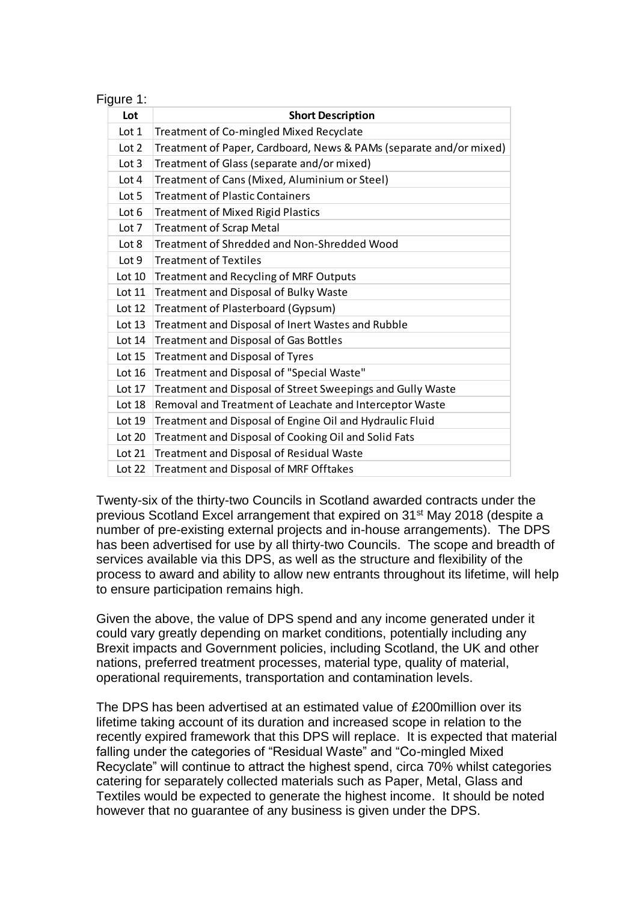| Figure |  |  |  |
|--------|--|--|--|
|        |  |  |  |

| Lot      | <b>Short Description</b>                                           |
|----------|--------------------------------------------------------------------|
| Lot 1    | Treatment of Co-mingled Mixed Recyclate                            |
| Lot 2    | Treatment of Paper, Cardboard, News & PAMs (separate and/or mixed) |
| Lot 3    | Treatment of Glass (separate and/or mixed)                         |
| Lot 4    | Treatment of Cans (Mixed, Aluminium or Steel)                      |
| Lot 5    | <b>Treatment of Plastic Containers</b>                             |
| Lot 6    | <b>Treatment of Mixed Rigid Plastics</b>                           |
| Lot 7    | <b>Treatment of Scrap Metal</b>                                    |
| Lot 8    | Treatment of Shredded and Non-Shredded Wood                        |
| Lot 9    | <b>Treatment of Textiles</b>                                       |
| Lot 10   | Treatment and Recycling of MRF Outputs                             |
| Lot 11   | Treatment and Disposal of Bulky Waste                              |
| Lot $12$ | Treatment of Plasterboard (Gypsum)                                 |
| Lot 13   | Treatment and Disposal of Inert Wastes and Rubble                  |
| Lot 14   | <b>Treatment and Disposal of Gas Bottles</b>                       |
| Lot 15   | <b>Treatment and Disposal of Tyres</b>                             |
| Lot $16$ | Treatment and Disposal of "Special Waste"                          |
| Lot 17   | Treatment and Disposal of Street Sweepings and Gully Waste         |
| Lot 18   | Removal and Treatment of Leachate and Interceptor Waste            |
| Lot 19   | Treatment and Disposal of Engine Oil and Hydraulic Fluid           |
| Lot 20   | Treatment and Disposal of Cooking Oil and Solid Fats               |
| Lot 21   | Treatment and Disposal of Residual Waste                           |
| Lot 22   | Treatment and Disposal of MRF Offtakes                             |

Twenty-six of the thirty-two Councils in Scotland awarded contracts under the previous Scotland Excel arrangement that expired on 31st May 2018 (despite a number of pre-existing external projects and in-house arrangements). The DPS has been advertised for use by all thirty-two Councils. The scope and breadth of services available via this DPS, as well as the structure and flexibility of the process to award and ability to allow new entrants throughout its lifetime, will help to ensure participation remains high.

Given the above, the value of DPS spend and any income generated under it could vary greatly depending on market conditions, potentially including any Brexit impacts and Government policies, including Scotland, the UK and other nations, preferred treatment processes, material type, quality of material, operational requirements, transportation and contamination levels.

The DPS has been advertised at an estimated value of £200million over its lifetime taking account of its duration and increased scope in relation to the recently expired framework that this DPS will replace. It is expected that material falling under the categories of "Residual Waste" and "Co-mingled Mixed Recyclate" will continue to attract the highest spend, circa 70% whilst categories catering for separately collected materials such as Paper, Metal, Glass and Textiles would be expected to generate the highest income. It should be noted however that no guarantee of any business is given under the DPS.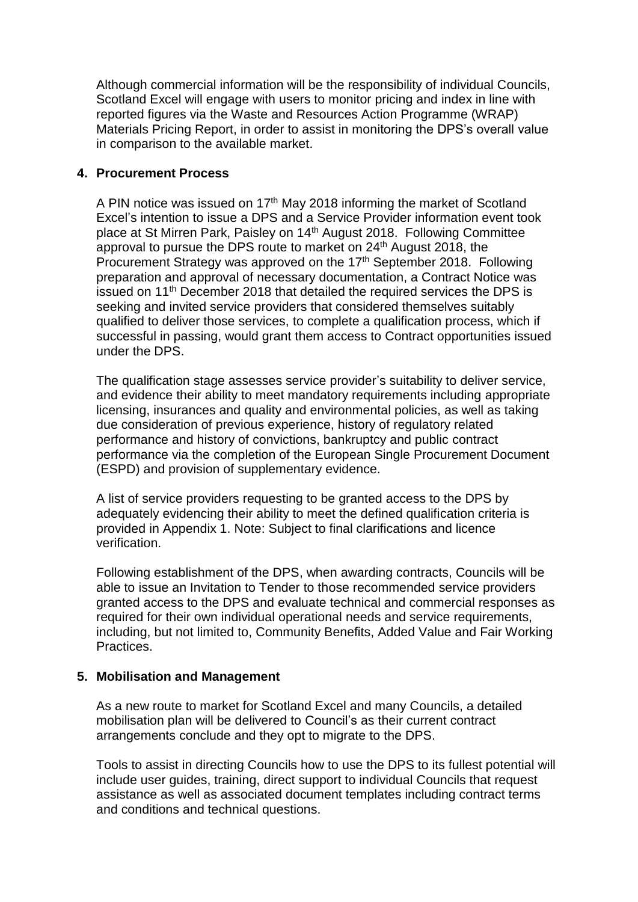Although commercial information will be the responsibility of individual Councils, Scotland Excel will engage with users to monitor pricing and index in line with reported figures via the Waste and Resources Action Programme (WRAP) Materials Pricing Report, in order to assist in monitoring the DPS's overall value in comparison to the available market.

#### **4. Procurement Process**

A PIN notice was issued on  $17<sup>th</sup>$  May 2018 informing the market of Scotland Excel's intention to issue a DPS and a Service Provider information event took place at St Mirren Park, Paisley on 14th August 2018. Following Committee approval to pursue the DPS route to market on 24<sup>th</sup> August 2018, the Procurement Strategy was approved on the 17<sup>th</sup> September 2018. Following preparation and approval of necessary documentation, a Contract Notice was issued on 11th December 2018 that detailed the required services the DPS is seeking and invited service providers that considered themselves suitably qualified to deliver those services, to complete a qualification process, which if successful in passing, would grant them access to Contract opportunities issued under the DPS.

The qualification stage assesses service provider's suitability to deliver service, and evidence their ability to meet mandatory requirements including appropriate licensing, insurances and quality and environmental policies, as well as taking due consideration of previous experience, history of regulatory related performance and history of convictions, bankruptcy and public contract performance via the completion of the European Single Procurement Document (ESPD) and provision of supplementary evidence.

A list of service providers requesting to be granted access to the DPS by adequately evidencing their ability to meet the defined qualification criteria is provided in Appendix 1. Note: Subject to final clarifications and licence verification.

Following establishment of the DPS, when awarding contracts, Councils will be able to issue an Invitation to Tender to those recommended service providers granted access to the DPS and evaluate technical and commercial responses as required for their own individual operational needs and service requirements, including, but not limited to, Community Benefits, Added Value and Fair Working Practices.

#### **5. Mobilisation and Management**

As a new route to market for Scotland Excel and many Councils, a detailed mobilisation plan will be delivered to Council's as their current contract arrangements conclude and they opt to migrate to the DPS.

Tools to assist in directing Councils how to use the DPS to its fullest potential will include user guides, training, direct support to individual Councils that request assistance as well as associated document templates including contract terms and conditions and technical questions.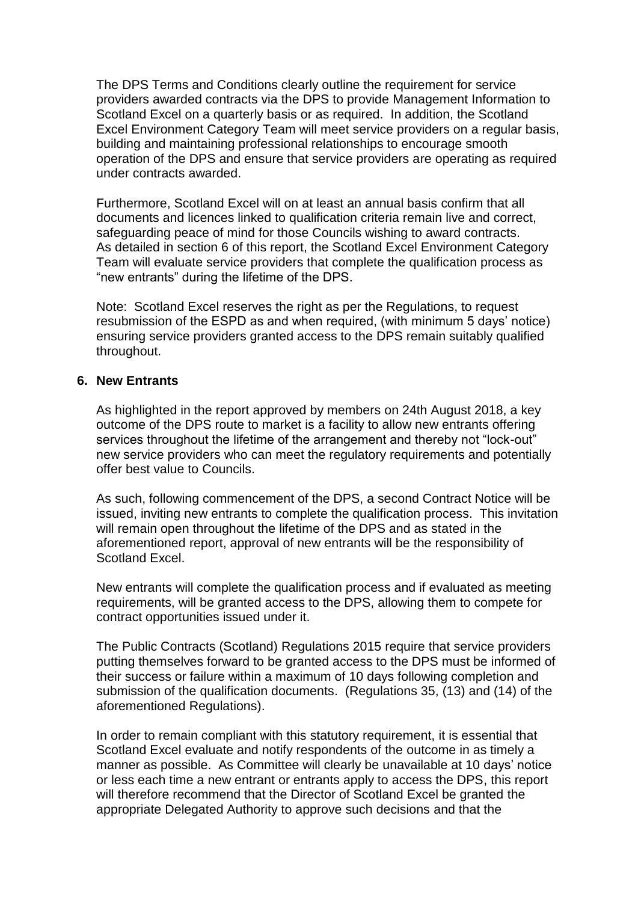The DPS Terms and Conditions clearly outline the requirement for service providers awarded contracts via the DPS to provide Management Information to Scotland Excel on a quarterly basis or as required. In addition, the Scotland Excel Environment Category Team will meet service providers on a regular basis, building and maintaining professional relationships to encourage smooth operation of the DPS and ensure that service providers are operating as required under contracts awarded.

Furthermore, Scotland Excel will on at least an annual basis confirm that all documents and licences linked to qualification criteria remain live and correct, safeguarding peace of mind for those Councils wishing to award contracts. As detailed in section 6 of this report, the Scotland Excel Environment Category Team will evaluate service providers that complete the qualification process as "new entrants" during the lifetime of the DPS.

Note: Scotland Excel reserves the right as per the Regulations, to request resubmission of the ESPD as and when required, (with minimum 5 days' notice) ensuring service providers granted access to the DPS remain suitably qualified throughout.

#### **6. New Entrants**

As highlighted in the report approved by members on 24th August 2018, a key outcome of the DPS route to market is a facility to allow new entrants offering services throughout the lifetime of the arrangement and thereby not "lock-out" new service providers who can meet the regulatory requirements and potentially offer best value to Councils.

As such, following commencement of the DPS, a second Contract Notice will be issued, inviting new entrants to complete the qualification process. This invitation will remain open throughout the lifetime of the DPS and as stated in the aforementioned report, approval of new entrants will be the responsibility of Scotland Excel.

New entrants will complete the qualification process and if evaluated as meeting requirements, will be granted access to the DPS, allowing them to compete for contract opportunities issued under it.

The Public Contracts (Scotland) Regulations 2015 require that service providers putting themselves forward to be granted access to the DPS must be informed of their success or failure within a maximum of 10 days following completion and submission of the qualification documents. (Regulations 35, (13) and (14) of the aforementioned Regulations).

In order to remain compliant with this statutory requirement, it is essential that Scotland Excel evaluate and notify respondents of the outcome in as timely a manner as possible. As Committee will clearly be unavailable at 10 days' notice or less each time a new entrant or entrants apply to access the DPS, this report will therefore recommend that the Director of Scotland Excel be granted the appropriate Delegated Authority to approve such decisions and that the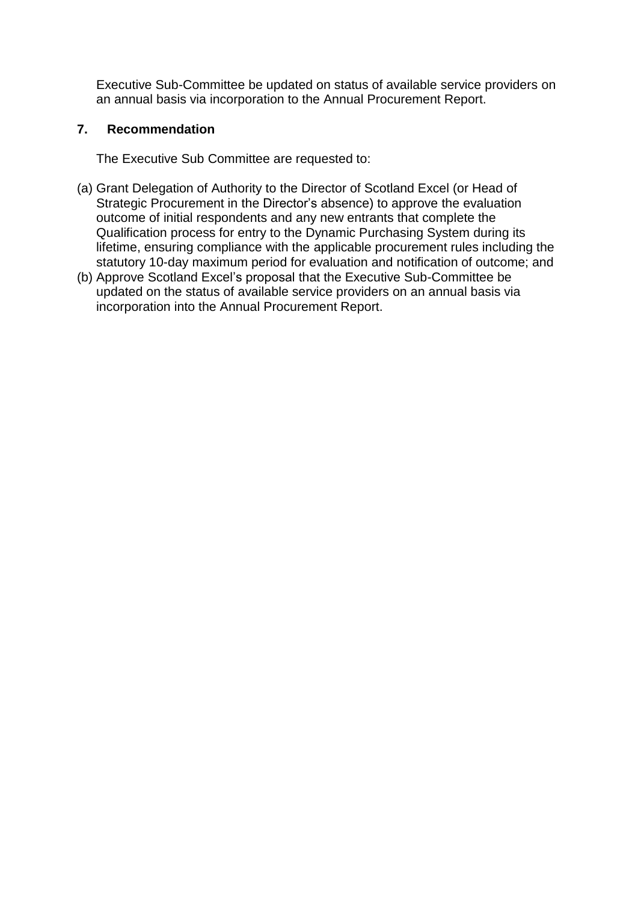Executive Sub-Committee be updated on status of available service providers on an annual basis via incorporation to the Annual Procurement Report.

## **7. Recommendation**

The Executive Sub Committee are requested to:

- (a) Grant Delegation of Authority to the Director of Scotland Excel (or Head of Strategic Procurement in the Director's absence) to approve the evaluation outcome of initial respondents and any new entrants that complete the Qualification process for entry to the Dynamic Purchasing System during its lifetime, ensuring compliance with the applicable procurement rules including the statutory 10-day maximum period for evaluation and notification of outcome; and
- (b) Approve Scotland Excel's proposal that the Executive Sub-Committee be updated on the status of available service providers on an annual basis via incorporation into the Annual Procurement Report.